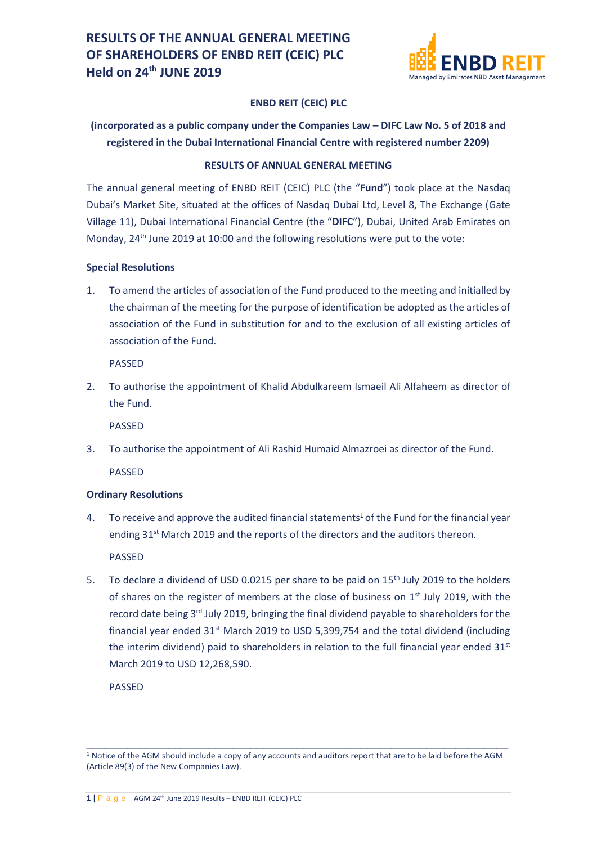

### **ENBD REIT (CEIC) PLC**

# **(incorporated as a public company under the Companies Law – DIFC Law No. 5 of 2018 and registered in the Dubai International Financial Centre with registered number 2209)**

#### **RESULTS OF ANNUAL GENERAL MEETING**

The annual general meeting of ENBD REIT (CEIC) PLC (the "**Fund**") took place at the Nasdaq Dubai's Market Site, situated at the offices of Nasdaq Dubai Ltd, Level 8, The Exchange (Gate Village 11), Dubai International Financial Centre (the "**DIFC**"), Dubai, United Arab Emirates on Monday, 24<sup>th</sup> June 2019 at 10:00 and the following resolutions were put to the vote:

#### **Special Resolutions**

1. To amend the articles of association of the Fund produced to the meeting and initialled by the chairman of the meeting for the purpose of identification be adopted as the articles of association of the Fund in substitution for and to the exclusion of all existing articles of association of the Fund.

PASSED

2. To authorise the appointment of Khalid Abdulkareem Ismaeil Ali Alfaheem as director of the Fund.

PASSED

3. To authorise the appointment of Ali Rashid Humaid Almazroei as director of the Fund.

PASSED

## **Ordinary Resolutions**

4. To receive and approve the audited financial statements<sup>1</sup> of the Fund for the financial year ending  $31<sup>st</sup>$  March 2019 and the reports of the directors and the auditors thereon.

PASSED

5. To declare a dividend of USD 0.0215 per share to be paid on  $15<sup>th</sup>$  July 2019 to the holders of shares on the register of members at the close of business on  $1<sup>st</sup>$  July 2019, with the record date being 3<sup>rd</sup> July 2019, bringing the final dividend payable to shareholders for the financial year ended  $31<sup>st</sup>$  March 2019 to USD 5,399,754 and the total dividend (including the interim dividend) paid to shareholders in relation to the full financial year ended  $31<sup>st</sup>$ March 2019 to USD 12,268,590.

PASSED

\_\_\_\_\_\_\_\_\_\_\_\_\_\_\_\_\_\_\_\_\_\_\_\_\_\_\_\_\_\_\_\_\_\_\_\_\_\_\_\_\_\_\_\_\_\_\_\_\_\_\_\_\_\_\_\_\_\_\_\_\_\_\_\_\_\_\_\_\_\_\_\_ <sup>1</sup> Notice of the AGM should include a copy of any accounts and auditors report that are to be laid before the AGM (Article 89(3) of the New Companies Law).